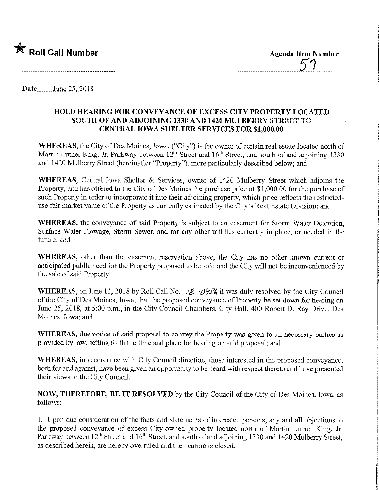

<u>51</u>

Date.........June 25, 2018.

## HOLD HEARING FOR CONVEYANCE OF EXCESS CITY PROPERTY LOCATED SOUTH OF AND ADJOINING 1330 AND 1420 MULBERRY STREET TO CENTRAL IOWA SHELTER SERVICES FOR \$1,000.00

WHEREAS, the City of Des Moines, Iowa, ("City") is the owner of certain real estate located north of Martin Luther King, Jr. Parkway between  $12^{th}$  Street and  $16^{th}$  Street, and south of and adjoining 1330 and 1420 Mulberry Street (hereinafter "Property"), more particularly described below; and

WHEREAS, Central Iowa Shelter & Services, owner of 1420 Mulberry Street which adjoins the Property, and has offered to the City of Des Moines the purchase price of \$1,000.00 for the purchase of such Property in order to incorporate it into their adjoining property, which price reflects the restricteduse fair market value of the Property as currently estimated by the City's Real Estate Division; and

WHEREAS, the conveyance of said Property is subject to an easement for Storm Water Detention, Surface Water Flowage, Storm Sewer, and for any other utilities currently in place, or needed in the future; and

WHEREAS, other than the easement reservation above, the City has no other known current or anticipated public need for the Property proposed to be sold and the City will not be inconvenienced by the sale of said Property.

WHEREAS, on June 11, 2018 by Roll Call No.  $\angle 8 - \frac{\partial 98}{ }$  it was duly resolved by the City Council of the City of Des Moines, Iowa, that the proposed conveyance of Property be set down for hearing on June 25, 2018, at 5:00 p.m., in the City Council Chambers, City Hall, 400 Robert D. Ray Drive, Des Moines, Iowa; and

WHEREAS, due notice of said proposal to convey the Property was given to all necessary parties as provided by law, setting forth the time and place for hearing on said proposal; and

WHEREAS, in accordance with City Council direction, those interested in the proposed conveyance, both for and against, have been given an opportunity to be heard with respect thereto and have presented their views to the City Council.

NOW, THEREFORE, BE IT RESOLVED by the City Council of the City of Des Moines, Iowa, as follows:

1. Upon due consideration of the facts and statements of interested persons, any and all objections to the proposed conveyance of excess City-owned property located north of Martin Luther King, Jr. Parkway between 12<sup>th</sup> Street and 16<sup>th</sup> Street, and south of and adjoining 1330 and 1420 Mulberry Street, as described herein, are hereby overruled and the hearing is closed.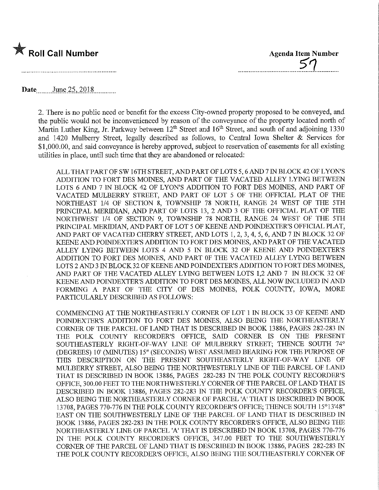

Roll Call Number<br>
Agenda Item Number<br>
51

## **Date** June 25, 2018

2. There is no public need or benefit for the excess City-owned property proposed to be conveyed, and the public would not be inconvenienced by reason of the conveyance of the property located north of Martin Luther King, Jr. Parkway between 12<sup>th</sup> Street and 16<sup>th</sup> Street, and south of and adjoining 1330 and 1420 Mulberry Street, legally described as follows, to Central Iowa Shelter  $\&$  Services for \$1,000.00, and said conveyance is hereby approved, subject to reservation of easements for all existing utilities in place, until such time that they are abandoned or relocated:

ALL THAT PART OF SW 16TH STREET, AND PART OF LOTS 5,6 AND 7 IN BLOCK 42 OF LYON'S ADDITION TO FORT DES MOINES, AND PART OF THE VACATED ALLEY LYING BETWEEN LOTS 6 AND 7 IN BLOCK 42 OF LYON'S ADDITION TO FORT DES MOINES, AND PART OF VACATED MULBERRY STREET, AND PART OF LOT 5 OF THE OFFICIAL PLAT OF THE NORTHEAST 1/4 OF SECTION 8, TOWNSHIP 78 NORTH, RANGE 24 WEST OF THE 5TH PRINCIPAL MERIDIAN, AND PART OF LOTS 13, 2 AND 3 OF THE OFFICIAL PLAT OF THE NORTHWEST 1/4 OF SECTION 9, TOWNSHIP 78 NORTH, RANGE 24 WEST OF THE 5TH PRINCIPAL MERIDIAN, AND PART OF LOT 5 OF KEENE AND POINDEXTER'S OFFICIAL PLAT, AND PART OF VACATED CHERRY STREET, AND LOTS 1, 2, 3, 4, 5, 6, AND 7 IN BLOCK 32 OF KEENE AND POINDEXTER'S ADDITION TO FORT DES MOINES, AND PART OF THE VACATED ALLEY LYING BETWEEN LOTS 4 AND 5 IN BLOCK 32 OF KEENE AND POINDEXTER'S ADDITION TO FORT DES MOINBS, AND PART OF THE VACATED ALLEY LYING BETWEEN LOTS 2 AND 3 IN BLOCK 32 OF KEENE AND POINDEXTER'S ADDITION TO FORT DES MOINES, AND PART OF THE VACATED ALLEY LYING BETWEEN LOTS 1,2 AND 7 IN BLOCK 32 OF KEENE AND POINDEXTER'S ADDITION TO FORT DES MOINES, ALL NOW INCLUDED IN AND FORMING A PART OF THE CITY OF DES MOINES, POLK COUNTY, IOWA, MORE PARTICULARLY DESCRIBED AS FOLLOWS:

COMMENCING AT THE NORTHEASTERLY CORNER OF LOT 1 IN BLOCK 33 OF KEENE AND POINDEXTER'S ADDITION TO FORT DES MOINES, ALSO BEING THE NORTHEASTERLY CORNER OF THE PARCEL OF LAND THAT IS DESCRIBED IN BOOK 13886, PAGES 282-283 IN THE POLK COUNTY RECORDER'S OFFICE, SAID CORNER IS ON THE PRESENT SOUTHEASTERLY RIGHT-OF-WAY LINE OF MULBERRY STREET; THENCE SOUTH 74° (DEGREES) 10' (MINUTES) 15" (SECONDS) WEST ASSUMED BEASJNG FOR THE PURPOSE OF THIS DESCRIPTION ON THE PRESENT SOUTHEASTERLY RIGHT-OF-WAY LINE OF MULBERRY STREET, ALSO BEING THE NORTHWESTERLY LINE OF THE PARCEL OF LAND THAT IS DESCRIBED IN BOOK 13886, PAGES 282-283 IN THE POLK COUNTY RECORDER'S OFFICE, 300.00 FEET TO THE NORTHWESTERLY CORNER OF THE PARCEL OF LAND THAT IS DESCRIBED IN BOOK 13886, PAGES 282-283 IN THE POLK COUNTY RECORDER'S OFFICE, ALSO BEmG THE NORTHEASTERLY CORNER OF PARCEL 'A' THAT IS DESCRIBED W BOOK 13708, PAGES 770-776 IN THE POLK COUNTY RECORDER'S OFFICE; THENCE SOUTH 15°13'48" EAST ON THE SOUTHWESTERLY LINE OF THE PARCEL OF LAND THAT IS DESCRIBED IN BOOK 13886, PAGES 282-283 IN THE POLK COUNTY RECORDER'S OFFICE, ALSO BEMG THE NORTHEASTERLY LINE OF PARCEL 'A' THAT IS DESCRIBED W BOOK 13708, PAGES 770-776 JN THE POLK COUNTY RECORDER'S OFFICE, 347.00 FEET TO THE SOUTHWESTERLY CORNER OF THE PARCEL OF LAND THAT IS DESCRIBED IN BOOK 13886, PAGES 282-283 IN THE POLK COUNTY RECORDER'S OFFICE, ALSO BEING THE SOUTHEASTERLY CORNER OF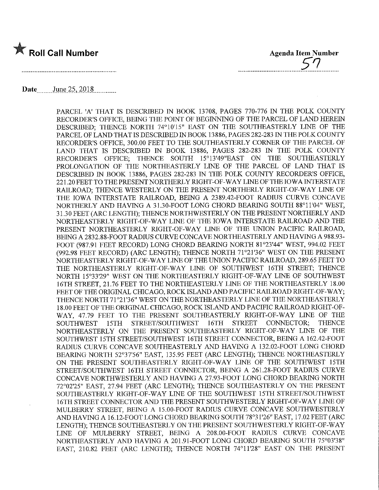

## **Date** June 25, 2018

PARCEL 'A' THAT IS DESCRIBED IN BOOK 13708, PAGES 770-776 IN THE POLK COUNTY RECORDER'S OFFICE, BEING THE POINT OF BEGINNING OF THE PARCEL OF LAND HEREIN DESCRIBED; THENCE NORTH 74°10'15" EAST ON THE SOUTHEASTERLY LINE OF THE PARCEL OF LAND THAT IS DESCRIBED IN BOOK 13886, PAGES 282-283 IN THE POLK COUNTY RECORDER'S OFFICE, 300.00 FEET TO THE SOUTHEASTERLY CORNER OF THE PARCEL OF LAND THAT IS DESCRIBED IN BOOK 13886, PAGES 282-283 IN THE POLK COUNTY RECORDER'S OFFICE; THENCE SOUTH 15°13'49"EAST ON THE SOUTHEASTERLY PROLONGATION OF THE NORTHEASTERLY LINE OF THE PARCEL OF LAND THAT IS DESCRIBED IN BOOK 13886, PAGES 282-283 IN THE POLK COUNTY RECORDER'S OFFICE, 221.20 FEET TO THE PRESENT NORTHERLY RIGHT-OF-WAY LINE OF THE IOWA INTERSTATE RAILROAD; THENCE WESTERLY ON THE PRESENT NORTHERLY RIGHT-OF-WAY LINE OF THE IOWA INTERSTATE RAILROAD, BEING A 2389.42-FOOT RADIUS CURVE CONCAVE NORTHERLY AND HAVING A 31.30-FOOT LONG CHORD BEARING SOUTH 88°11'04" WEST, 31.30 FEET (ARC LENGTH); THENCE NORTHWESTERLY ON THE PRESENT NORTHERLY AND NORTHEASTERLY RIGHT-OF-WAY LINE OF THE IOWA INTERSTATE RAILROAD AND THE PRESENT NORTHEASTERLY RIGHT-OF-WAY LINE OF THE UNION PACIFIC RAILROAD, BEING A 2832.88-FOOT RADIUS CURVE CONCAVE NORTHEASTERLY AND HAVING A 988.93- FOOT (987.91 FEET RECORD) LONG CHORD BEARING NORTH 81°23'44" WEST, 994.02 FEET (992.98 FEET RECORD) (ARC LENGTH); THENCE NORTH 71°21'36" WEST ON THE PRESENT NORTHEASTERLY RIGHT-OF-WAY LINE OF THE UNION PACIFIC RAILROAD, 289.65 FEET TO THE NORTHEASTERLY RIGHT-OF-WAY LINE OF SOUTHWEST 16TH STREET; THENCE NORTH 15°33'29" WEST ON THE NORTHEASTERLY RIGHT-OF-WAY UNE OF SOUTHWEST 16TH STREET, 21.76 FEET TO THE NORTHEASTERLY LINE OP THE NORTHEASTERLY 18.00 FEET OF THE ORIGINAL CHICAGO, ROCK ISLAND AND PACIFIC RAILROAD RIGHT-OF-WAY; THENCE NORTH 71°21'36" WEST ON THE NORTHEASTERLY LINE OF THE NORTHEASTERLY 18.00 FEET OF THE ORIGINAL CHICAGO, ROCK ISLAND AND PACIFIC RAILROAD RIGHT-OF-WAY, 47.79 FEET TO THE PRESENT SOUTHEASTERLY RIGHT-OF-WAY LINE OF THE SOUTHWEST 15TH STREET/SOUTHWEST 16TH STREET CONNECTOR; THENCE NORTHEASTERLY ON THE PRESENT SOUTHEASTERLY RIGHT-OF-WAY LINE OF THE SOUTHWEST 15TH STREET/SOUTHWEST 16TH STREET CONNECTOR, BEING A 162.42-FOOT RADIUS CURVE CONCAVE SOUTHEASTERLY AND HAVING A 132.02-FOOT LONG CHORD BEARING NORTH 52°37'56" EAST, 135.95 FEET (ARC LENGTH); THENCE NORTHEASTERLY ON THE PRESENT SOUTHEASTERLY RIGHT-OF-WAY LINE OF THE SOUTHWEST 15TH STREET/SOUTHWEST 16TH STREET CONNECTOR, BEING A 261.28-FOOT RADIUS CURVE CONCAVE NORTHWESTERLY AND HAVING A 27.93-FOOT LONG CHORD BEARING NORTH 72°02'25" EAST, 27.94 FEET (ARC LENGTH); THENCE SOUTHEASTERLY ON THE PRESENT SOUTHEASTERLY RIGHT-OF-WAY LINE OF THE SOUTHWEST 15TH STREET/SOUTHWEST 16TH STREET CONNECTOR AND THE PRESENT SOUTHWESTERLY RIGHT-OF-WAY LINE OF MULBERRY STREET, BEING A 15.00-FOOT RADIUS CURVE CONCAVE SOUTHWESTERLY AND HAVING A 16.12-FOOT LONG CHORD BEARING SOUTH 78°3 1'26" EAST, 17.02 FEET (ARC LENGTH); THENCE SOUTHEASTERLY ON THE PRESENT SOUTHWESTERLY RIGHT-OF-WAY LINE OF MULBERRY STREET, BEING A 208.00-FOOT RADIUS CURVE CONCAVE NORTHEASTERLY AND HAVING A 201.91-FOOT LONG CHORD BEARING SOUTH 75°03'38" EAST, 210.82 FEET (ARC LENGTH); THENCE NORTH 74°11'28" EAST ON THE PRESENT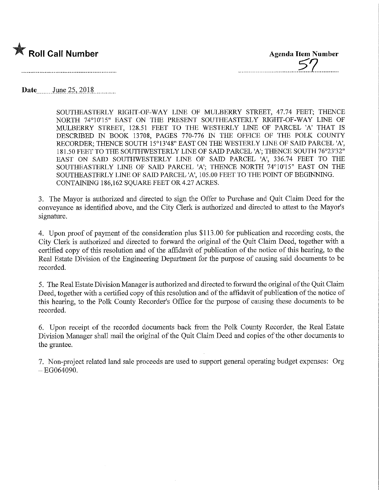

Roll Call Number Agenda Item Number

Date June 25, 2018

SOUTHEASTERLY RIGHT-OF-WAY LINE OF MULBERRY STREET, 47.74 FEET; THENCE NORTH 74010'15" EAST ON THE PRESENT SOUTHEASTERLY RIGHT-OF-WAY LINE OF MULBERRY STREET, 128.51 FEET TO THE WESTERLY LINE OF PARCEL 'A' THAT IS DESCRIBED IN BOOK 13708, PAGES 770-776 IN THE OFFICE OF THE POLK COUNTY RECORDER; THENCE SOUTH 15°13'48" EAST ON THE WESTERLY LINE OF SAID PARCEL 'A', 181.50 FEET TO THE SOUTHWESTERLY LINE OF SAID PARCEL 'A'; THENCE SOUTH 76°23'32" EAST ON SAID SOUTHWESTERLY LINE OF SAID PARCEL 'A', 336.74 FEET TO THE SOUTHEASTERLY LINE OF SAID PARCEL 'A'; THENCE NORTH 74°10'15" EAST ON THE SOUTHEASTERLY LINE OF SAID PARCEL 'A', 105.00 FEET TO THE POINT OF BEGINNING. CONTAINING 186,162 SQUARE FEET OR 4.27 ACRES.

3. The Mayor is authorized and directed to sign the Offer to Purchase and Quit Claim Deed for the conveyance as identified above, and the City Clerk is authorized and directed to attest to the Mayor's signature.

4. Upon proof of payment of the consideration plus \$113.00 for publication and recording costs, the City Clerk is authorized and directed to forward the original of the Quit Claim Deed, together with a certified copy of this resolution and of the affidavit of publication of the notice of this hearing, to the Real Estate Division of the Engineering Department for the purpose of causing said documents to be recorded.

5. The Real Estate Division Manager is authorized and directed to forward the original of the Quit Claim Deed, together with a certified copy of this resolution and of the affidavit of publication of the notice of this hearing, to the Polk County Recorder's Office for the purpose of causing these documents to be recorded.

6. Upon receipt of the recorded documents back from the Polk County Recorder, the Real Estate Division Manager shall mail the original of the Quit Claim Deed and copies of the other documents to the grantee.

7. Non-project related land sale proceeds are used to support general operating budget expenses: Org  $-EG064090.$